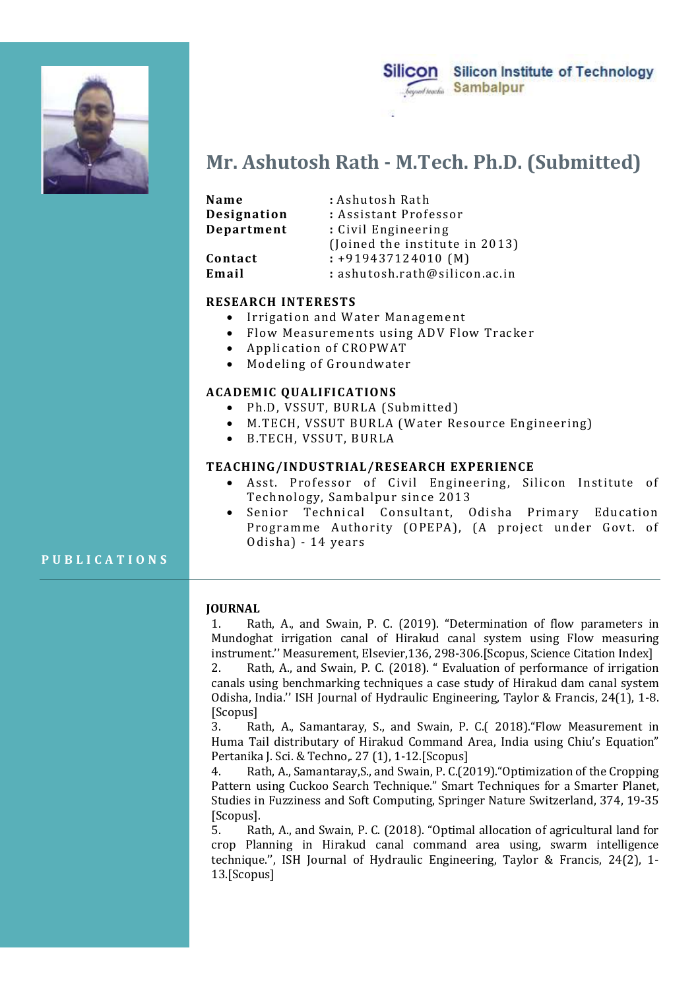

Silicon Silicon Institute of Technology Sambalpur

# Mr. Ashutosh Rath - M.Tech. Ph.D. (Submitted)

| Mr. Ashutosh Rath - M.Tech. Ph.D. (Submitted)                 |                                                            |
|---------------------------------------------------------------|------------------------------------------------------------|
| Name                                                          | : Ashutosh Rath                                            |
| Designation                                                   | : Assistant Professor                                      |
| Department                                                    | : Civil Engineering                                        |
|                                                               | (Joined the institute in 2013)                             |
| Contact                                                       | $: +919437124010$ (M)                                      |
| Email                                                         | : ashutosh.rath@silicon.ac.in                              |
| <b>RESEARCH INTERESTS</b>                                     |                                                            |
| ٠                                                             | Irrigation and Water Management                            |
| Flow Measurements using ADV Flow Tracker<br>$\bullet$         |                                                            |
| $\bullet$                                                     | Application of CROPWAT                                     |
| $\bullet$                                                     | Modeling of Groundwater                                    |
| <b>ACADEMIC QUALIFICATIONS</b>                                |                                                            |
| Ph.D, VSSUT, BURLA (Submitted)<br>$\bullet$                   |                                                            |
| M.TECH, VSSUT BURLA (Water Resource Engineering)<br>$\bullet$ |                                                            |
| $\bullet$                                                     | B.TECH, VSSUT, BURLA                                       |
|                                                               | <b>TEACHING/INDUSTRIAL/RESEARCH EXPERIENCE</b>             |
|                                                               | • Asst Professor of Civil Engineering Silicon Institute of |

## RESEARCH INTERESTS

- Irrigation and Water Management
- Flow Measurements using ADV Flow Tracker
- Application of CROPWAT
- Modeling of Groundwater

#### ACADEMIC QUALIFICATIONS

- 
- 
- 

### TEACHING/INDUSTRIAL/RESEARCH EXPERIENCE

- Asst. Professor of Civil Engineering, Silicon Institute of Technology, Sambalpur since 2013
- Senior Technical Consultant, Odisha Primary Education tment : Civil Engineering<br>
(foined the institute in 2013)<br>
ct : :919437124010 (M)<br>
: ashutosh.rath@silicon.ac.in<br>
RCH INTERESTS<br>
Irrigation and Water Management<br>
Application of CROPWAT<br>
Application of CROPWAT<br>
Modeling of Odisha) - 14 years Contact : +919437124010 (M)<br>
Email<br>
RESEARCH INTERESTS<br>
RESEARCH INTERESTS<br>
FIGURE : Irrigation and Water Management<br>
• Flow Measurements using ADV Flow Tracker<br>
• Modeling of Groundwater<br>
• Modeling of Groundwater<br>
• Mode

#### JOURNAL

1. Rath, A., and Swain, P. C. (2019). "Determination of flow parameters in Mundoghat irrigation canal of Hirakud canal system using Flow measuring instrument.'' Measurement, Elsevier,136, 298-306.[Scopus, Science Citation Index]

2. Rath, A., and Swain, P. C. (2018). " Evaluation of performance of irrigation canals using benchmarking techniques a case study of Hirakud dam canal system Odisha, India.'' ISH Journal of Hydraulic Engineering, Taylor & Francis, 24(1), 1-8. [Scopus]

3. Rath, A., Samantaray, S., and Swain, P. C.( 2018)."Flow Measurement in Huma Tail distributary of Hirakud Command Area, India using Chiu's Equation" Pertanika J. Sci. & Techno,. 27 (1), 1-12.[Scopus]

4. Rath, A., Samantaray,S., and Swain, P. C.(2019)."Optimization of the Cropping Pattern using Cuckoo Search Technique." Smart Techniques for a Smarter Planet, Studies in Fuzziness and Soft Computing, Springer Nature Switzerland, 374, 19-35 [Scopus].

5. Rath, A., and Swain, P. C. (2018). "Optimal allocation of agricultural land for crop Planning in Hirakud canal command area using, swarm intelligence technique.'', ISH Journal of Hydraulic Engineering, Taylor & Francis, 24(2), 1- 13.[Scopus]